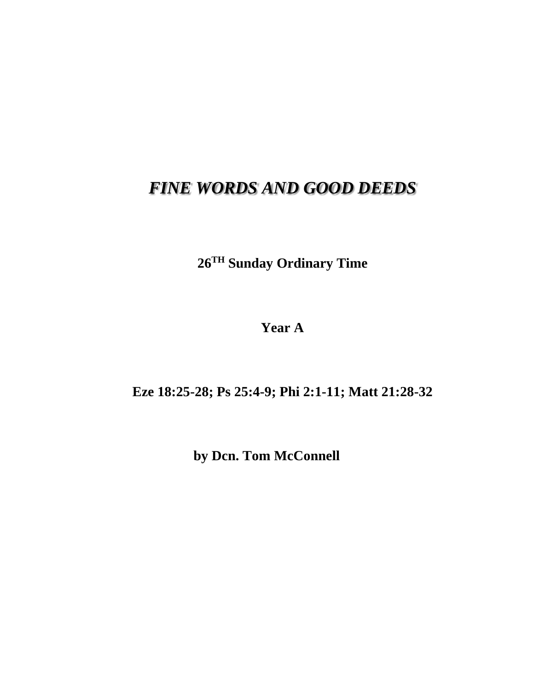## *FINE WORDS AND GOOD DEEDS*

**26 TH Sunday Ordinary Time**

**Year A**

**Eze 18:25-28; Ps 25:4-9; Phi 2:1-11; Matt 21:28-32**

**by Dcn. Tom McConnell**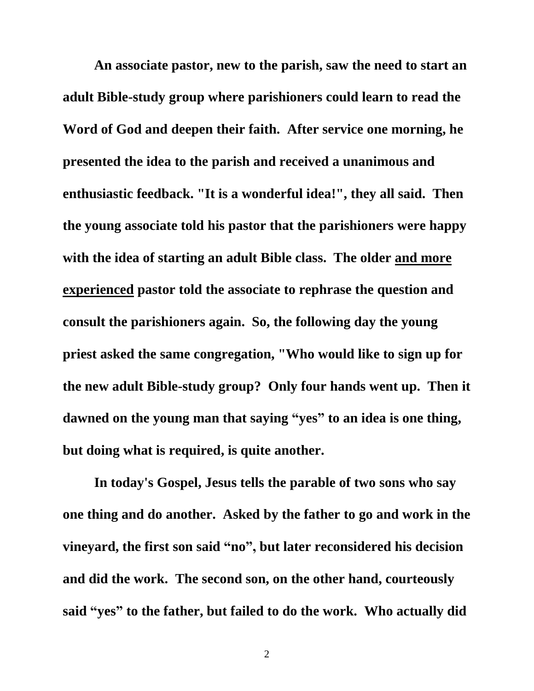**An associate pastor, new to the parish, saw the need to start an adult Bible-study group where parishioners could learn to read the Word of God and deepen their faith. After service one morning, he presented the idea to the parish and received a unanimous and enthusiastic feedback. "It is a wonderful idea!" , they all said. Then the young associate told his pastor that the parishioners were happy with the idea of starting an adult Bible class. The older and more experienced pastor told the associate to rephrase the question and consult the parishioners again. So, the following day the young priest asked the same congregation, "Who would like to sign up for the new adult Bible-study group? Only four hands went up. Then it dawned on the young man that saying "yes" to an idea is one thing, but doing what is required, is quite another.**

**In today's Gospel, Jesus tells the parable of two sons who say one thing and do another. Asked by the father to go and work in the vineyard, the first son said "no", but later reconsidered his decision and did the work. The second son, on the other hand, courteously said "yes" to the father, but failed to do the work. Who actually did** 

2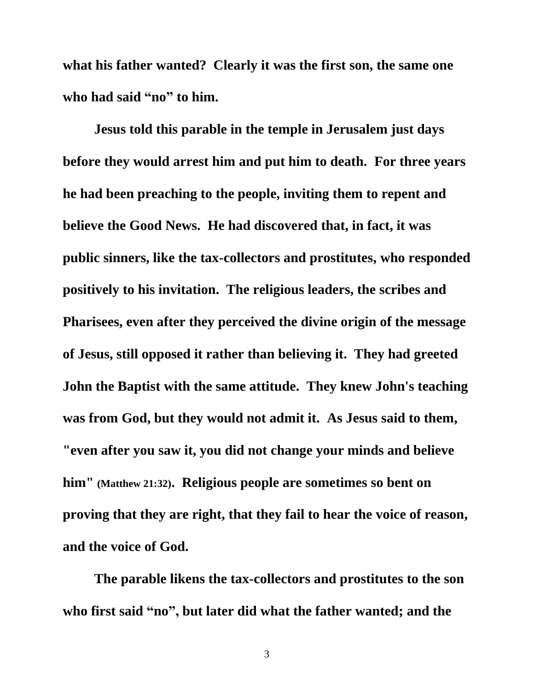**what his father wanted? Clearly it was the first son, the same one who had said "no" to him.**

**Jesus told this parable in the temple in Jerusalem just days before they would arrest him and put him to death. For three years he had been preaching to the people, inviting them to repent and believe the Good News. He had discovered that, in fact, it was public sinners, like the tax-collectors and prostitutes, who responded positively to his invitation. The religious leaders, the scribes and Pharisees, even after they perceived the divine origin of the message of Jesus, still opposed it rather than believing it. They had greeted John the Baptist with the same attitude. They knew John's teaching was from God, but they would not admit it. As Jesus said to them, "even after you saw it, you did not change your minds and believe him" (Matthew 21:32). Religious people are sometimes so bent on proving that they are right, that they fail to hear the voice of reason, and the voice of God.**

**The parable likens the tax-collectors and prostitutes to the son who first said "no", but later did what the father wanted; and the** 

3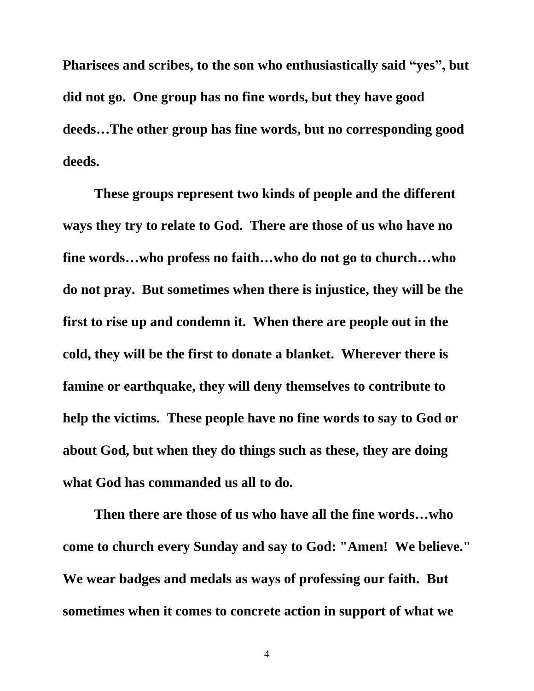**Pharisees and scribes, to the son who enthusiastically said "yes", but did not go. One group has no fine words, but they have good deeds…The other group has fine words, but no corresponding good deeds.**

**These groups represent two kinds of people and the different ways they try to relate to God. There are those of us who have no fine words…who profess no faith…who do not go to church…who do not pray. But sometimes when there is injustice, they will be the first to rise up and condemn it. When there are people out in the cold, they will be the first to donate a blanket. Wherever there is famine or earthquake, they will deny themselves to contribute to help the victims. These people have no fine words to say to God or about God, but when they do things such as these, they are doing what God has commanded us all to do.**

**Then there are those of us who have all the fine words…who come to church every Sunday and say to God: "Amen! We believe." We wear badges and medals as ways of professing our faith. But sometimes when it comes to concrete action in support of what we** 

4